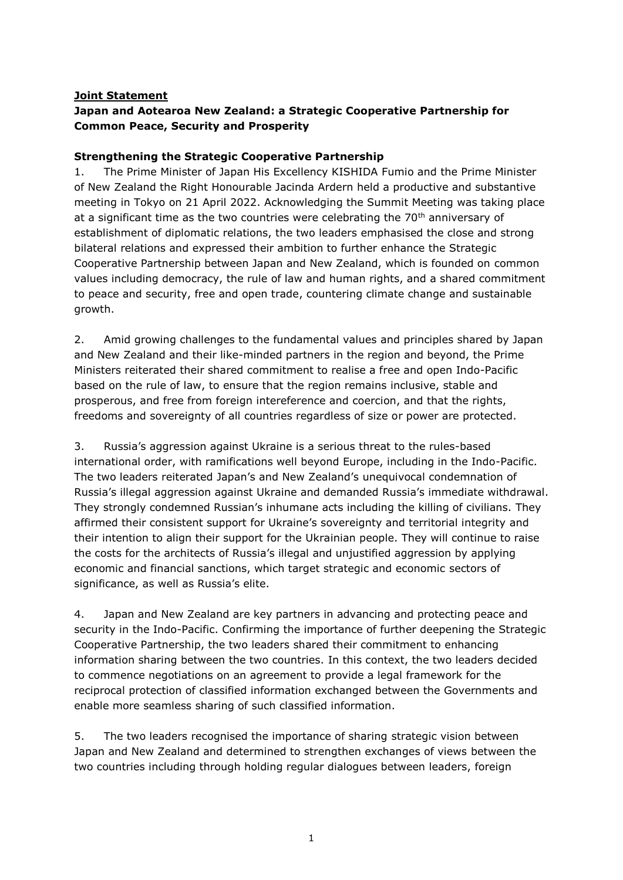## **Joint Statement**

# **Japan and Aotearoa New Zealand: a Strategic Cooperative Partnership for Common Peace, Security and Prosperity**

#### **Strengthening the Strategic Cooperative Partnership**

1. The Prime Minister of Japan His Excellency KISHIDA Fumio and the Prime Minister of New Zealand the Right Honourable Jacinda Ardern held a productive and substantive meeting in Tokyo on 21 April 2022. Acknowledging the Summit Meeting was taking place at a significant time as the two countries were celebrating the  $70<sup>th</sup>$  anniversary of establishment of diplomatic relations, the two leaders emphasised the close and strong bilateral relations and expressed their ambition to further enhance the Strategic Cooperative Partnership between Japan and New Zealand, which is founded on common values including democracy, the rule of law and human rights, and a shared commitment to peace and security, free and open trade, countering climate change and sustainable growth.

2. Amid growing challenges to the fundamental values and principles shared by Japan and New Zealand and their like-minded partners in the region and beyond, the Prime Ministers reiterated their shared commitment to realise a free and open Indo-Pacific based on the rule of law, to ensure that the region remains inclusive, stable and prosperous, and free from foreign intereference and coercion, and that the rights, freedoms and sovereignty of all countries regardless of size or power are protected.

3. Russia's aggression against Ukraine is a serious threat to the rules-based international order, with ramifications well beyond Europe, including in the Indo-Pacific. The two leaders reiterated Japan's and New Zealand's unequivocal condemnation of Russia's illegal aggression against Ukraine and demanded Russia's immediate withdrawal. They strongly condemned Russian's inhumane acts including the killing of civilians. They affirmed their consistent support for Ukraine's sovereignty and territorial integrity and their intention to align their support for the Ukrainian people. They will continue to raise the costs for the architects of Russia's illegal and unjustified aggression by applying economic and financial sanctions, which target strategic and economic sectors of significance, as well as Russia's elite.

4. Japan and New Zealand are key partners in advancing and protecting peace and security in the Indo-Pacific. Confirming the importance of further deepening the Strategic Cooperative Partnership, the two leaders shared their commitment to enhancing information sharing between the two countries. In this context, the two leaders decided to commence negotiations on an agreement to provide a legal framework for the reciprocal protection of classified information exchanged between the Governments and enable more seamless sharing of such classified information.

5. The two leaders recognised the importance of sharing strategic vision between Japan and New Zealand and determined to strengthen exchanges of views between the two countries including through holding regular dialogues between leaders, foreign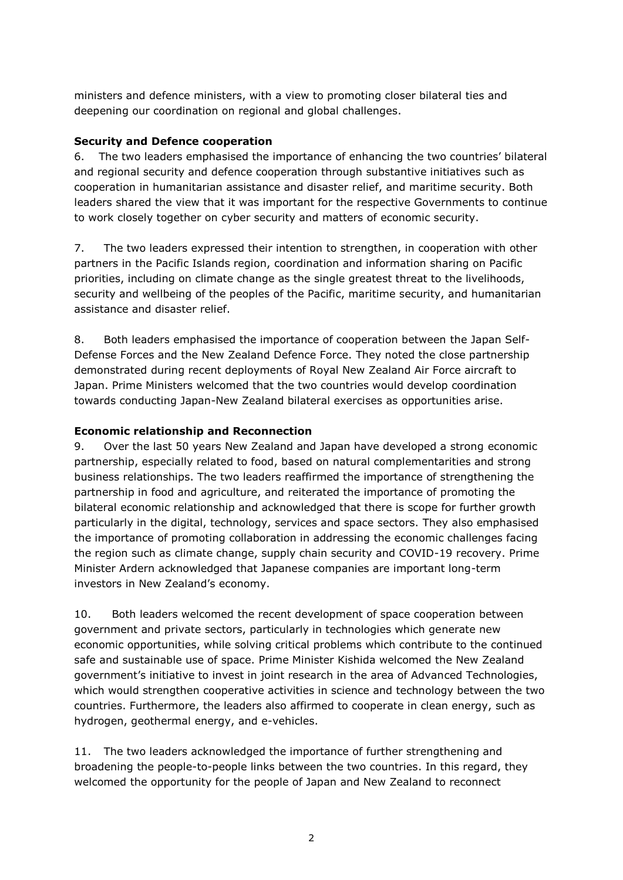ministers and defence ministers, with a view to promoting closer bilateral ties and deepening our coordination on regional and global challenges.

#### **Security and Defence cooperation**

6. The two leaders emphasised the importance of enhancing the two countries' bilateral and regional security and defence cooperation through substantive initiatives such as cooperation in humanitarian assistance and disaster relief, and maritime security. Both leaders shared the view that it was important for the respective Governments to continue to work closely together on cyber security and matters of economic security.

7. The two leaders expressed their intention to strengthen, in cooperation with other partners in the Pacific Islands region, coordination and information sharing on Pacific priorities, including on climate change as the single greatest threat to the livelihoods, security and wellbeing of the peoples of the Pacific, maritime security, and humanitarian assistance and disaster relief.

8. Both leaders emphasised the importance of cooperation between the Japan Self-Defense Forces and the New Zealand Defence Force. They noted the close partnership demonstrated during recent deployments of Royal New Zealand Air Force aircraft to Japan. Prime Ministers welcomed that the two countries would develop coordination towards conducting Japan-New Zealand bilateral exercises as opportunities arise.

### **Economic relationship and Reconnection**

9. Over the last 50 years New Zealand and Japan have developed a strong economic partnership, especially related to food, based on natural complementarities and strong business relationships. The two leaders reaffirmed the importance of strengthening the partnership in food and agriculture, and reiterated the importance of promoting the bilateral economic relationship and acknowledged that there is scope for further growth particularly in the digital, technology, services and space sectors. They also emphasised the importance of promoting collaboration in addressing the economic challenges facing the region such as climate change, supply chain security and COVID-19 recovery. Prime Minister Ardern acknowledged that Japanese companies are important long-term investors in New Zealand's economy.

10. Both leaders welcomed the recent development of space cooperation between government and private sectors, particularly in technologies which generate new economic opportunities, while solving critical problems which contribute to the continued safe and sustainable use of space. Prime Minister Kishida welcomed the New Zealand government's initiative to invest in joint research in the area of Advanced Technologies, which would strengthen cooperative activities in science and technology between the two countries. Furthermore, the leaders also affirmed to cooperate in clean energy, such as hydrogen, geothermal energy, and e-vehicles.

11. The two leaders acknowledged the importance of further strengthening and broadening the people-to-people links between the two countries. In this regard, they welcomed the opportunity for the people of Japan and New Zealand to reconnect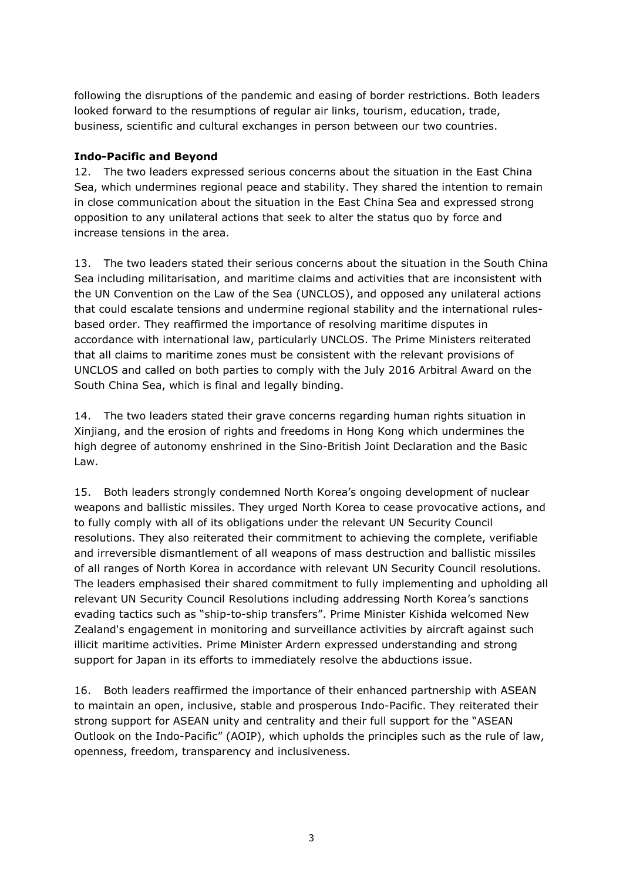following the disruptions of the pandemic and easing of border restrictions. Both leaders looked forward to the resumptions of regular air links, tourism, education, trade, business, scientific and cultural exchanges in person between our two countries.

#### **Indo-Pacific and Beyond**

12. The two leaders expressed serious concerns about the situation in the East China Sea, which undermines regional peace and stability. They shared the intention to remain in close communication about the situation in the East China Sea and expressed strong opposition to any unilateral actions that seek to alter the status quo by force and increase tensions in the area.

13. The two leaders stated their serious concerns about the situation in the South China Sea including militarisation, and maritime claims and activities that are inconsistent with the UN Convention on the Law of the Sea (UNCLOS), and opposed any unilateral actions that could escalate tensions and undermine regional stability and the international rulesbased order. They reaffirmed the importance of resolving maritime disputes in accordance with international law, particularly UNCLOS. The Prime Ministers reiterated that all claims to maritime zones must be consistent with the relevant provisions of UNCLOS and called on both parties to comply with the July 2016 Arbitral Award on the South China Sea, which is final and legally binding.

14. The two leaders stated their grave concerns regarding human rights situation in Xinjiang, and the erosion of rights and freedoms in Hong Kong which undermines the high degree of autonomy enshrined in the Sino-British Joint Declaration and the Basic Law.

15. Both leaders strongly condemned North Korea's ongoing development of nuclear weapons and ballistic missiles. They urged North Korea to cease provocative actions, and to fully comply with all of its obligations under the relevant UN Security Council resolutions. They also reiterated their commitment to achieving the complete, verifiable and irreversible dismantlement of all weapons of mass destruction and ballistic missiles of all ranges of North Korea in accordance with relevant UN Security Council resolutions. The leaders emphasised their shared commitment to fully implementing and upholding all relevant UN Security Council Resolutions including addressing North Korea's sanctions evading tactics such as "ship-to-ship transfers". Prime Minister Kishida welcomed New Zealand's engagement in monitoring and surveillance activities by aircraft against such illicit maritime activities. Prime Minister Ardern expressed understanding and strong support for Japan in its efforts to immediately resolve the abductions issue.

16. Both leaders reaffirmed the importance of their enhanced partnership with ASEAN to maintain an open, inclusive, stable and prosperous Indo-Pacific. They reiterated their strong support for ASEAN unity and centrality and their full support for the "ASEAN Outlook on the Indo-Pacific" (AOIP), which upholds the principles such as the rule of law, openness, freedom, transparency and inclusiveness.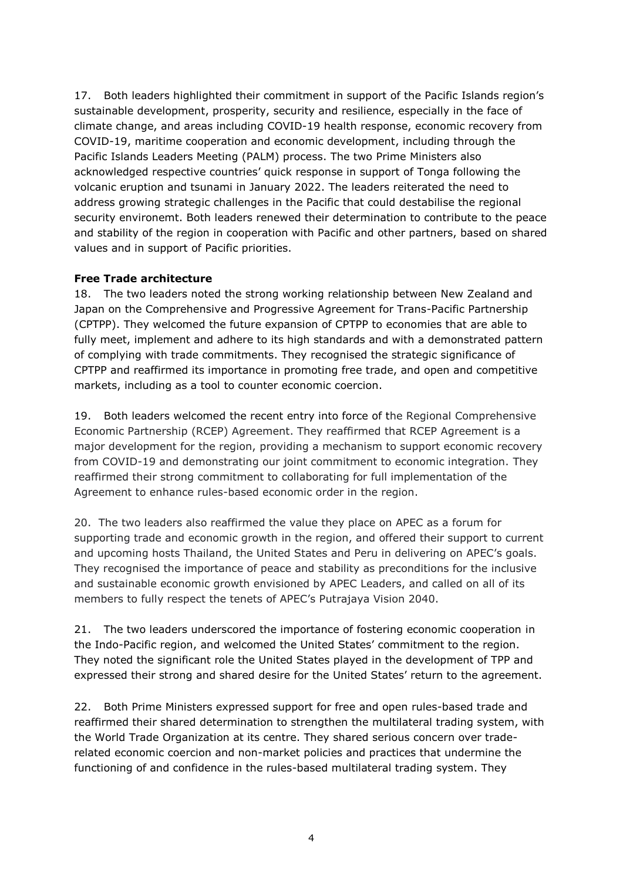17. Both leaders highlighted their commitment in support of the Pacific Islands region's sustainable development, prosperity, security and resilience, especially in the face of climate change, and areas including COVID-19 health response, economic recovery from COVID-19, maritime cooperation and economic development, including through the Pacific Islands Leaders Meeting (PALM) process. The two Prime Ministers also acknowledged respective countries' quick response in support of Tonga following the volcanic eruption and tsunami in January 2022. The leaders reiterated the need to address growing strategic challenges in the Pacific that could destabilise the regional security environemt. Both leaders renewed their determination to contribute to the peace and stability of the region in cooperation with Pacific and other partners, based on shared values and in support of Pacific priorities.

#### **Free Trade architecture**

18. The two leaders noted the strong working relationship between New Zealand and Japan on the Comprehensive and Progressive Agreement for Trans-Pacific Partnership (CPTPP). They welcomed the future expansion of CPTPP to economies that are able to fully meet, implement and adhere to its high standards and with a demonstrated pattern of complying with trade commitments. They recognised the strategic significance of CPTPP and reaffirmed its importance in promoting free trade, and open and competitive markets, including as a tool to counter economic coercion.

19. Both leaders welcomed the recent entry into force of the Regional Comprehensive Economic Partnership (RCEP) Agreement. They reaffirmed that RCEP Agreement is a major development for the region, providing a mechanism to support economic recovery from COVID-19 and demonstrating our joint commitment to economic integration. They reaffirmed their strong commitment to collaborating for full implementation of the Agreement to enhance rules-based economic order in the region.

20. The two leaders also reaffirmed the value they place on APEC as a forum for supporting trade and economic growth in the region, and offered their support to current and upcoming hosts Thailand, the United States and Peru in delivering on APEC's goals. They recognised the importance of peace and stability as preconditions for the inclusive and sustainable economic growth envisioned by APEC Leaders, and called on all of its members to fully respect the tenets of APEC's Putrajaya Vision 2040.

21. The two leaders underscored the importance of fostering economic cooperation in the Indo-Pacific region, and welcomed the United States' commitment to the region. They noted the significant role the United States played in the development of TPP and expressed their strong and shared desire for the United States' return to the agreement.

22. Both Prime Ministers expressed support for free and open rules-based trade and reaffirmed their shared determination to strengthen the multilateral trading system, with the World Trade Organization at its centre. They shared serious concern over traderelated economic coercion and non-market policies and practices that undermine the functioning of and confidence in the rules-based multilateral trading system. They